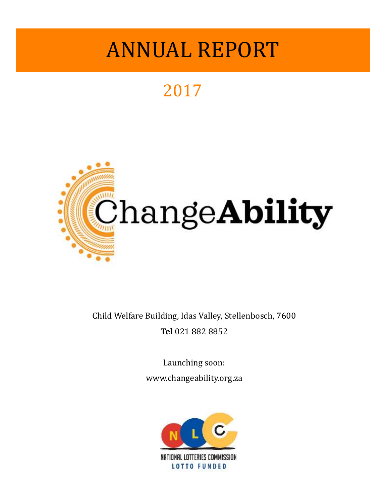## 2017



Child Welfare Building, Idas Valley, Stellenbosch, 7600 **Tel** 021 882 8852

> Launching soon: www.changeability.org.za

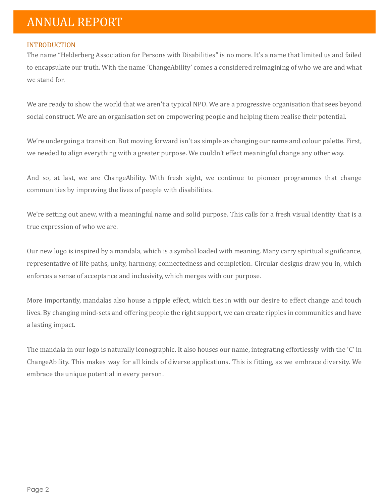#### INTRODUCTION

The name "Helderberg Association for Persons with Disabilities" is no more. It's a name that limited us and failed to encapsulate our truth. With the name 'ChangeAbility' comes a considered reimagining of who we are and what we stand for.

We are ready to show the world that we aren't a typical NPO. We are a progressive organisation that sees beyond social construct. We are an organisation set on empowering people and helping them realise their potential.

We're undergoing a transition. But moving forward isn't as simple as changing our name and colour palette. First, we needed to align everything with a greater purpose. We couldn't effect meaningful change any other way.

And so, at last, we are ChangeAbility. With fresh sight, we continue to pioneer programmes that change communities by improving the lives of people with disabilities.

We're setting out anew, with a meaningful name and solid purpose. This calls for a fresh visual identity that is a true expression of who we are.

Our new logo is inspired by a mandala, which is a symbol loaded with meaning. Many carry spiritual significance, representative of life paths, unity, harmony, connectedness and completion. Circular designs draw you in, which enforces a sense of acceptance and inclusivity, which merges with our purpose.

More importantly, mandalas also house a ripple effect, which ties in with our desire to effect change and touch lives. By changing mind-sets and offering people the right support, we can create ripples in communities and have a lasting impact.

The mandala in our logo is naturally iconographic. It also houses our name, integrating effortlessly with the 'C' in ChangeAbility. This makes way for all kinds of diverse applications. This is fitting, as we embrace diversity. We embrace the unique potential in every person.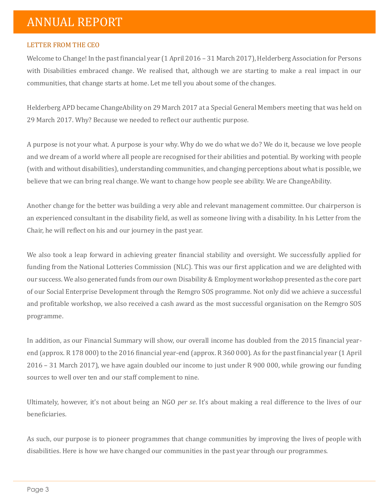#### LETTER FROM THE CEO

Welcome to Change! In the past financial year (1 April 2016 – 31 March 2017), Helderberg Association for Persons with Disabilities embraced change. We realised that, although we are starting to make a real impact in our communities, that change starts at home. Let me tell you about some of the changes.

Helderberg APD became ChangeAbility on 29 March 2017 at a Special General Members meeting that was held on 29 March 2017. Why? Because we needed to reflect our authentic purpose.

A purpose is not your what. A purpose is your why. Why do we do what we do? We do it, because we love people and we dream of a world where all people are recognised for their abilities and potential. By working with people (with and without disabilities), understanding communities, and changing perceptions about what is possible, we believe that we can bring real change. We want to change how people see ability. We are ChangeAbility.

Another change for the better was building a very able and relevant management committee. Our chairperson is an experienced consultant in the disability field, as well as someone living with a disability. In his Letter from the Chair, he will reflect on his and our journey in the past year.

We also took a leap forward in achieving greater financial stability and oversight. We successfully applied for funding from the National Lotteries Commission (NLC). This was our first application and we are delighted with our success. We also generated funds from our own Disability & Employment workshop presented as the core part of our Social Enterprise Development through the Remgro SOS programme. Not only did we achieve a successful and profitable workshop, we also received a cash award as the most successful organisation on the Remgro SOS programme.

In addition, as our Financial Summary will show, our overall income has doubled from the 2015 financial yearend (approx. R 178 000) to the 2016 financial year-end (approx. R 360 000). As for the past financial year (1 April 2016 – 31 March 2017), we have again doubled our income to just under R 900 000, while growing our funding sources to well over ten and our staff complement to nine.

Ultimately, however, it's not about being an NGO *per se*. It's about making a real difference to the lives of our beneficiaries.

As such, our purpose is to pioneer programmes that change communities by improving the lives of people with disabilities. Here is how we have changed our communities in the past year through our programmes.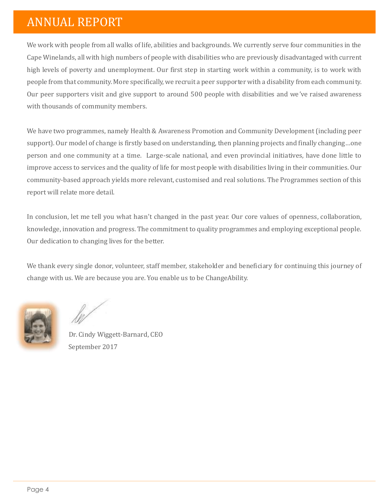We work with people from all walks of life, abilities and backgrounds. We currently serve four communities in the Cape Winelands, all with high numbers of people with disabilities who are previously disadvantaged with current high levels of poverty and unemployment. Our first step in starting work within a community, is to work with people from that community. More specifically, we recruit a peer supporter with a disability from each community. Our peer supporters visit and give support to around 500 people with disabilities and we've raised awareness with thousands of community members.

We have two programmes, namely Health & Awareness Promotion and Community Development (including peer support). Our model of change is firstly based on understanding, then planning projects and finally changing…one person and one community at a time. Large-scale national, and even provincial initiatives, have done little to improve access to services and the quality of life for most people with disabilities living in their communities. Our community-based approach yields more relevant, customised and real solutions. The Programmes section of this report will relate more detail.

In conclusion, let me tell you what hasn't changed in the past year. Our core values of openness, collaboration, knowledge, innovation and progress. The commitment to quality programmes and employing exceptional people. Our dedication to changing lives for the better.

We thank every single donor, volunteer, staff member, stakeholder and beneficiary for continuing this journey of change with us. We are because you are. You enable us to be ChangeAbility.

Dr. Cindy Wiggett-Barnard, CEO September 2017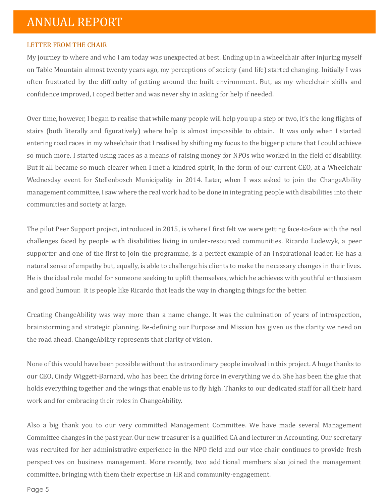#### LETTER FROM THE CHAIR

My journey to where and who I am today was unexpected at best. Ending up in a wheelchair after injuring myself on Table Mountain almost twenty years ago, my perceptions of society (and life) started changing. Initially I was often frustrated by the difficulty of getting around the built environment. But, as my wheelchair skills and confidence improved, I coped better and was never shy in asking for help if needed.

Over time, however, I began to realise that while many people will help you up a step or two, it's the long flights of stairs (both literally and figuratively) where help is almost impossible to obtain. It was only when I started entering road races in my wheelchair that I realised by shifting my focus to the bigger picture that I could achieve so much more. I started using races as a means of raising money for NPOs who worked in the field of disability. But it all became so much clearer when I met a kindred spirit, in the form of our current CEO, at a Wheelchair Wednesday event for Stellenbosch Municipality in 2014. Later, when I was asked to join the ChangeAbility management committee, I saw where the real work had to be done in integrating people with disabilities into their communities and society at large.

The pilot Peer Support project, introduced in 2015, is where I first felt we were getting face-to-face with the real challenges faced by people with disabilities living in under-resourced communities. Ricardo Lodewyk, a peer supporter and one of the first to join the programme, is a perfect example of an inspirational leader. He has a natural sense of empathy but, equally, is able to challenge his clients to make the necessary changes in their lives. He is the ideal role model for someone seeking to uplift themselves, which he achieves with youthful enthusiasm and good humour. It is people like Ricardo that leads the way in changing things for the better.

Creating ChangeAbility was way more than a name change. It was the culmination of years of introspection, brainstorming and strategic planning. Re-defining our Purpose and Mission has given us the clarity we need on the road ahead. ChangeAbility represents that clarity of vision.

None of this would have been possible without the extraordinary people involved in this project. A huge thanks to our CEO, Cindy Wiggett-Barnard, who has been the driving force in everything we do. She has been the glue that holds everything together and the wings that enable us to fly high. Thanks to our dedicated staff for all their hard work and for embracing their roles in ChangeAbility.

Also a big thank you to our very committed Management Committee. We have made several Management Committee changes in the past year. Our new treasurer is a qualified CA and lecturer in Accounting. Our secretary was recruited for her administrative experience in the NPO field and our vice chair continues to provide fresh perspectives on business management. More recently, two additional members also joined the management committee, bringing with them their expertise in HR and community-engagement.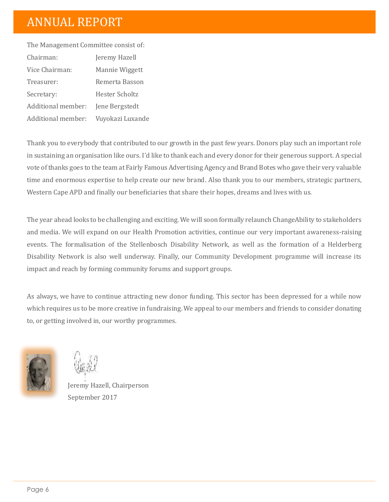The Management Committee consist of: Chairman: Jeremy Hazell Vice Chairman: Mannie Wiggett Treasurer: Remerta Basson Secretary: Hester Scholtz Additional member: Jene Bergstedt Additional member: Vuyokazi Luxande

Thank you to everybody that contributed to our growth in the past few years. Donors play such an important role in sustaining an organisation like ours. I'd like to thank each and every donor for their generous support. A special vote of thanks goes to the team at Fairly Famous Advertising Agency and Brand Botes who gave their very valuable time and enormous expertise to help create our new brand. Also thank you to our members, strategic partners, Western Cape APD and finally our beneficiaries that share their hopes, dreams and lives with us.

The year ahead looks to be challenging and exciting. We will soon formally relaunch ChangeAbility to stakeholders and media. We will expand on our Health Promotion activities, continue our very important awareness-raising events. The formalisation of the Stellenbosch Disability Network, as well as the formation of a Helderberg Disability Network is also well underway. Finally, our Community Development programme will increase its impact and reach by forming community forums and support groups.

As always, we have to continue attracting new donor funding. This sector has been depressed for a while now which requires us to be more creative in fundraising. We appeal to our members and friends to consider donating to, or getting involved in, our worthy programmes.



Jeremy Hazell, Chairperson September 2017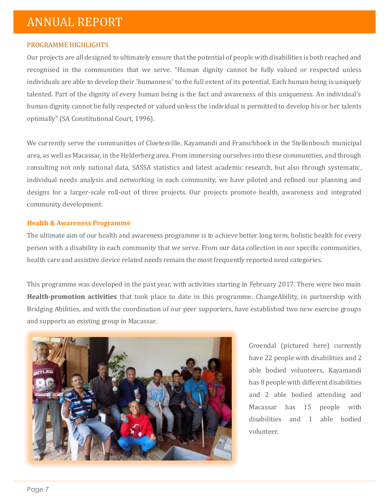#### PROGRAMME HIGHLIGHTS

Our projects are all designed to ultimately ensure that the potential of people with disabilities is both reached and recognised in the communities that we serve. "Human dignity cannot be fully valued or respected unless individuals are able to develop their 'humanness' to the full extent of its potential. Each human being is uniquely talented. Part of the dignity of every human being is the fact and awareness of this uniqueness. An individual's human dignity cannot be fully respected or valued unless the individual is permitted to develop his or her talents optimally" (SA Constitutional Court, 1996).

We currently serve the communities of Cloetesville, Kayamandi and Franschhoek in the Stellenbosch municipal area, as well as Macassar, in the Helderberg area. From immersing ourselves into these communities, and through consulting not only national data, SASSA statistics and latest academic research, but also through systematic, individual needs analysis and networking in each community, we have piloted and refined our planning and designs for a larger-scale roll-out of three projects. Our projects promote health, awareness and integrated community development.

#### **Health & Awareness Programme**

The ultimate aim of our health and awareness programme is to achieve better long term, holistic health for every person with a disability in each community that we serve. From our data collection in our specific communities, health care and assistive device related needs remain the most frequently reported need categories.

This programme was developed in the past year, with activities starting in February 2017. There were two main **Health-promotion activities** that took place to date in this programme. ChangeAbility, in partnership with Bridging Abilities, and with the coordination of our peer supporters, have established two new exercise groups and supports an existing group in Macassar.



Groendal (pictured here) currently have 22 people with disabilities and 2 able bodied volunteers, Kayamandi has 8 people with different disabilities and 2 able bodied attending and Macassar has 15 people with disabilities and 1 able bodied volunteer.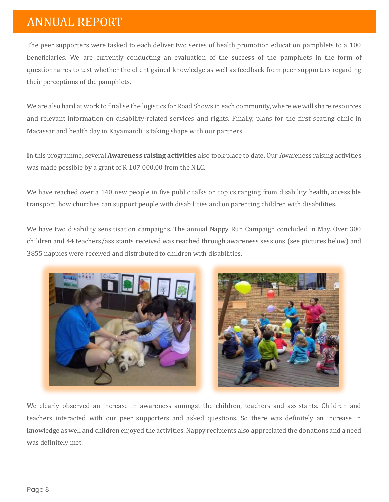The peer supporters were tasked to each deliver two series of health promotion education pamphlets to a 100 beneficiaries. We are currently conducting an evaluation of the success of the pamphlets in the form of questionnaires to test whether the client gained knowledge as well as feedback from peer supporters regarding their perceptions of the pamphlets.

We are also hard at work to finalise the logistics for Road Shows in each community, where we will share resources and relevant information on disability-related services and rights. Finally, plans for the first seating clinic in Macassar and health day in Kayamandi is taking shape with our partners.

In this programme, several **Awareness raising activities** also took place to date. Our Awareness raising activities was made possible by a grant of R 107 000.00 from the NLC.

We have reached over a 140 new people in five public talks on topics ranging from disability health, accessible transport, how churches can support people with disabilities and on parenting children with disabilities.

We have two disability sensitisation campaigns. The annual Nappy Run Campaign concluded in May. Over 300 children and 44 teachers/assistants received was reached through awareness sessions (see pictures below) and 3855 nappies were received and distributed to children with disabilities.



We clearly observed an increase in awareness amongst the children, teachers and assistants. Children and teachers interacted with our peer supporters and asked questions. So there was definitely an increase in knowledge as well and children enjoyed the activities. Nappy recipients also appreciated the donations and a need was definitely met.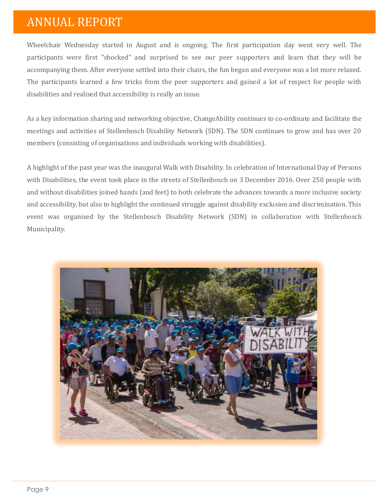Wheelchair Wednesday started in August and is ongoing. The first participation day went very well. The participants were first "shocked" and surprised to see our peer supporters and learn that they will be accompanying them. After everyone settled into their chairs, the fun began and everyone was a lot more relaxed. The participants learned a few tricks from the peer supporters and gained a lot of respect for people with disabilities and realised that accessibility is really an issue.

As a key information sharing and networking objective, ChangeAbility continues to co-ordinate and facilitate the meetings and activities of Stellenbosch Disability Network (SDN). The SDN continues to grow and has over 20 members (consisting of organisations and individuals working with disabilities).

A highlight of the past year was the inaugural Walk with Disability. In celebration of International Day of Persons with Disabilities, the event took place in the streets of Stellenbosch on 3 December 2016. Over 250 people with and without disabilities joined hands (and feet) to both celebrate the advances towards a more inclusive society and accessibility, but also to highlight the continued struggle against disability exclusion and discrimination. This event was organised by the Stellenbosch Disability Network (SDN) in collaboration with Stellenbosch Municipality.

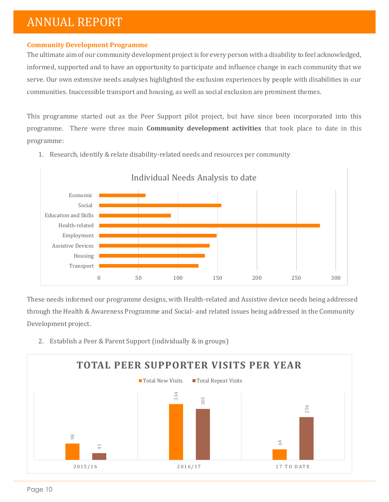#### **Community Development Programme**

The ultimate aim of our community development project is for every person with a disability to feel acknowledged, informed, supported and to have an opportunity to participate and influence change in each community that we serve. Our own extensive needs analyses highlighted the exclusion experiences by people with disabilities in our communities. Inaccessible transport and housing, as well as social exclusion are prominent themes.

This programme started out as the Peer Support pilot project, but have since been incorporated into this programme. There were three main **Community development activities** that took place to date in this programme:



1. Research, identify & relate disability-related needs and resources per community

These needs informed our programme designs, with Health-related and Assistive device needs being addressed through the Health & Awareness Programme and Social- and related issues being addressed in the Community Development project.

2. Establish a Peer & Parent Support (individually & in groups)

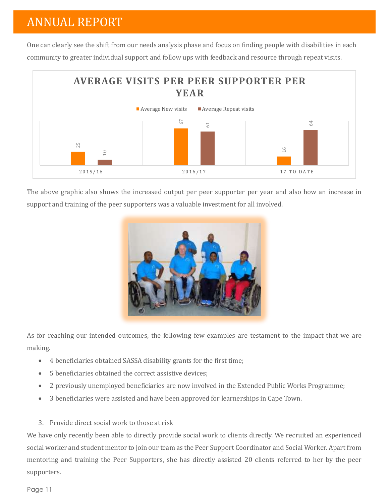One can clearly see the shift from our needs analysis phase and focus on finding people with disabilities in each community to greater individual support and follow ups with feedback and resource through repeat visits.



The above graphic also shows the increased output per peer supporter per year and also how an increase in support and training of the peer supporters was a valuable investment for all involved.



As for reaching our intended outcomes, the following few examples are testament to the impact that we are making.

- 4 beneficiaries obtained SASSA disability grants for the first time;
- 5 beneficiaries obtained the correct assistive devices;
- 2 previously unemployed beneficiaries are now involved in the Extended Public Works Programme;
- 3 beneficiaries were assisted and have been approved for learnerships in Cape Town.
- 3. Provide direct social work to those at risk

We have only recently been able to directly provide social work to clients directly. We recruited an experienced social worker and student mentor to join our team as the Peer Support Coordinator and Social Worker. Apart from mentoring and training the Peer Supporters, she has directly assisted 20 clients referred to her by the peer supporters.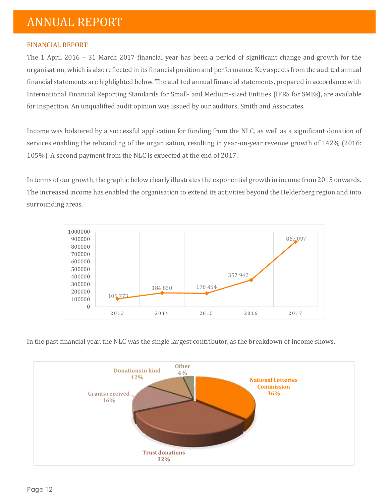#### FINANCIAL REPORT

The 1 April 2016 – 31 March 2017 financial year has been a period of significant change and growth for the organisation, which is also reflected in its financial position and performance. Key aspects from the audited annual financial statements are highlighted below. The audited annual financial statements, prepared in accordance with International Financial Reporting Standards for Small- and Medium-sized Entities (IFRS for SMEs), are available for inspection. An unqualified audit opinion was issued by our auditors, Smith and Associates.

Income was bolstered by a successful application for funding from the NLC, as well as a significant donation of services enabling the rebranding of the organisation, resulting in year-on-year revenue growth of 142% (2016: 105%). A second payment from the NLC is expected at the end of 2017.

In terms of our growth, the graphic below clearly illustrates the exponential growth in income from 2015 onwards. The increased income has enabled the organisation to extend its activities beyond the Helderberg region and into surrounding areas.



In the past financial year, the NLC was the single largest contributor, as the breakdown of income shows.

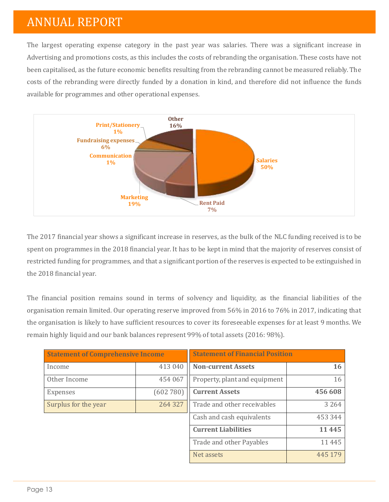The largest operating expense category in the past year was salaries. There was a significant increase in Advertising and promotions costs, as this includes the costs of rebranding the organisation. These costs have not been capitalised, as the future economic benefits resulting from the rebranding cannot be measured reliably. The costs of the rebranding were directly funded by a donation in kind, and therefore did not influence the funds available for programmes and other operational expenses.



The 2017 financial year shows a significant increase in reserves, as the bulk of the NLC funding received is to be spent on programmes in the 2018 financial year. It has to be kept in mind that the majority of reserves consist of restricted funding for programmes, and that a significant portion of the reserves is expected to be extinguished in the 2018 financial year.

The financial position remains sound in terms of solvency and liquidity, as the financial liabilities of the organisation remain limited. Our operating reserve improved from 56% in 2016 to 76% in 2017, indicating that the organisation is likely to have sufficient resources to cover its foreseeable expenses for at least 9 months. We remain highly liquid and our bank balances represent 99% of total assets (2016: 98%).

| <b>Statement of Comprehensive Income</b> |          | <b>Statement of Financial Position</b> |           |
|------------------------------------------|----------|----------------------------------------|-----------|
| Income                                   | 413 040  | <b>Non-current Assets</b>              | <b>16</b> |
| Other Income                             | 454 067  | Property, plant and equipment          | 16        |
| Expenses                                 | (602780) | <b>Current Assets</b>                  | 456 608   |
| Surplus for the year                     | 264 327  | Trade and other receivables            | 3 2 6 4   |
|                                          |          | Cash and cash equivalents              | 453 344   |
|                                          |          | <b>Current Liabilities</b>             | 11445     |
|                                          |          | Trade and other Payables               | 11445     |
|                                          |          | Net assets                             | 445 179   |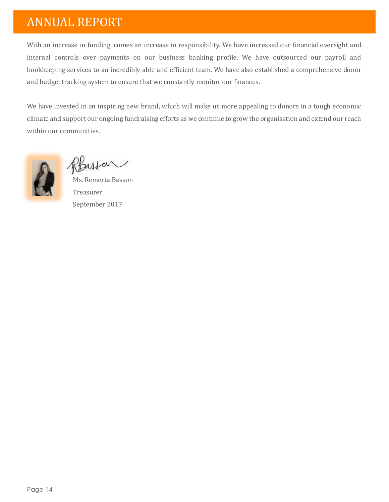With an increase in funding, comes an increase in responsibility. We have increased our financial oversight and internal controls over payments on our business banking profile. We have outsourced our payroll and bookkeeping services to an incredibly able and efficient team. We have also established a comprehensive donor and budget tracking system to ensure that we constantly monitor our finances.

We have invested in an inspiring new brand, which will make us more appealing to donors in a tough economic climate and support our ongoing fundraising efforts as we continue to grow the organisation and extend our reach within our communities.



Rhussan

Ms. Remerta Basson Treasurer September 2017